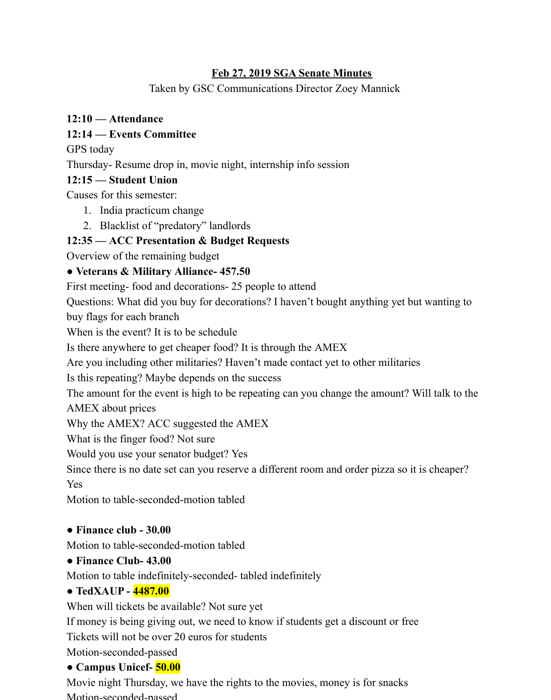### **Feb 27, 2019 SGA Senate Minutes**

Taken by GSC Communications Director Zoey Mannick

# **12:10 — Attendance**

# **12:14 — Events Committee**

GPS today

Thursday- Resume drop in, movie night, internship info session

# **12:15 — Student Union**

Causes for this semester:

- 1. India practicum change
- 2. Blacklist of "predatory" landlords

# **12:35 — ACC Presentation & Budget Requests**

Overview of the remaining budget

# **● Veterans & Military Alliance- 457.50**

First meeting- food and decorations- 25 people to attend

Questions: What did you buy for decorations? I haven't bought anything yet but wanting to buy flags for each branch

When is the event? It is to be schedule

Is there anywhere to get cheaper food? It is through the AMEX

Are you including other militaries? Haven't made contact yet to other militaries

Is this repeating? Maybe depends on the success

The amount for the event is high to be repeating can you change the amount? Will talk to the AMEX about prices

Why the AMEX? ACC suggested the AMEX

What is the finger food? Not sure

Would you use your senator budget? Yes

Since there is no date set can you reserve a different room and order pizza so it is cheaper? Yes

Motion to table-seconded-motion tabled

# **● Finance club - 30.00**

Motion to table-seconded-motion tabled

# **● Finance Club- 43.00**

Motion to table indefinitely-seconded- tabled indefinitely

# **● TedXAUP - 4487.00**

When will tickets be available? Not sure yet

If money is being giving out, we need to know if students get a discount or free Tickets will not be over 20 euros for students

# Motion-seconded-passed

# **● Campus Unicef- 50.00**

Movie night Thursday, we have the rights to the movies, money is for snacks Motion-seconded-passed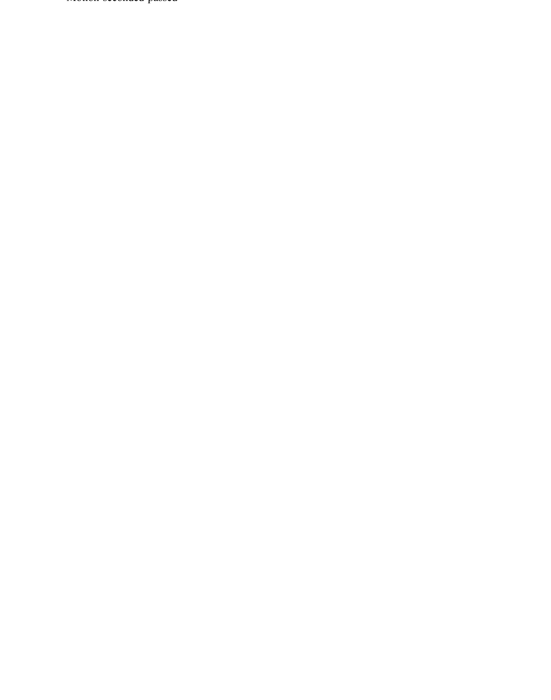Motion-seconded-passed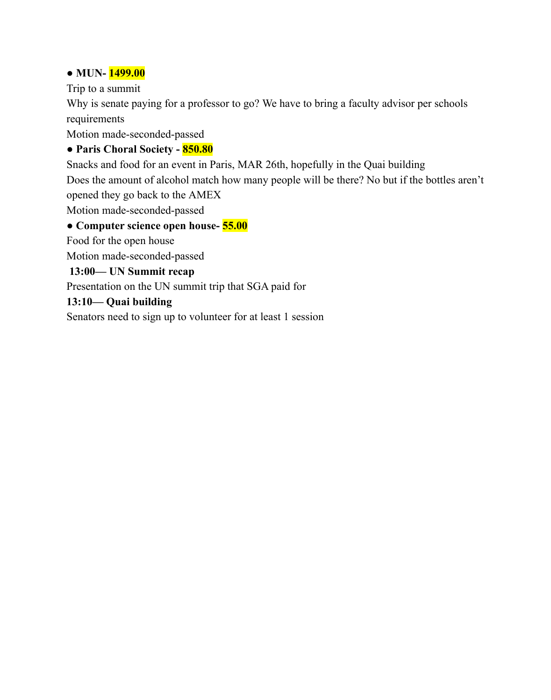### **● MUN- 1499.00**

Trip to a summit

Why is senate paying for a professor to go? We have to bring a faculty advisor per schools requirements

Motion made-seconded-passed

### **● Paris Choral Society - 850.80**

Snacks and food for an event in Paris, MAR 26th, hopefully in the Quai building

Does the amount of alcohol match how many people will be there? No but if the bottles aren't opened they go back to the AMEX

Motion made-seconded-passed

# **● Computer science open house- 55.00**

Food for the open house

Motion made-seconded-passed

### **13:00— UN Summit recap**

Presentation on the UN summit trip that SGA paid for

### **13:10— Quai building**

Senators need to sign up to volunteer for at least 1 session